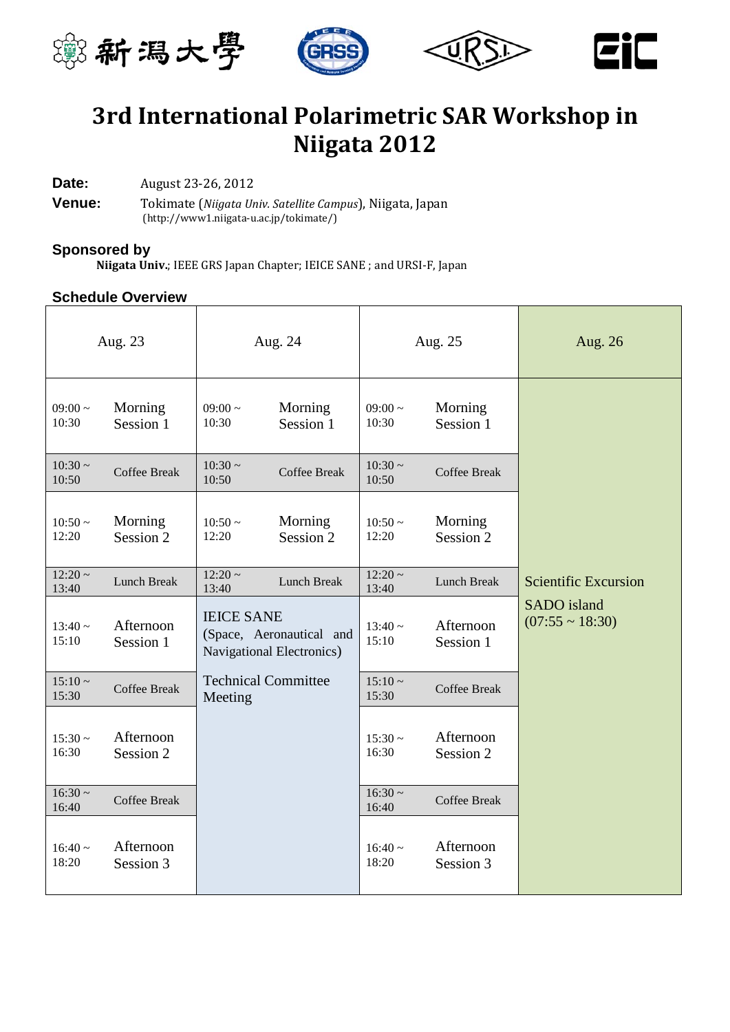



# **3rd International Polarimetric SAR Workshop in Niigata 2012**

**Date:** August 23-26, 2012

**Venue:** Tokimate (*Niigata Univ. Satellite Campus*), Niigata, Japan [\(http://www1.niigata-u.ac.jp/tokimate/\)](http://www1.niigata-u.ac.jp/tokimate/)

#### **Sponsored by**

**Niigata Univ.**; IEEE GRS Japan Chapter; IEICE SANE ; and URSI-F, Japan

#### **Schedule Overview**

| Aug. 23               |                        | Aug. 24                                                                    |                      | Aug. 25               |                        | Aug. 26                             |
|-----------------------|------------------------|----------------------------------------------------------------------------|----------------------|-----------------------|------------------------|-------------------------------------|
| $09:00 \sim$<br>10:30 | Morning<br>Session 1   | 09:00 $\sim$<br>10:30                                                      | Morning<br>Session 1 | $09:00 \sim$<br>10:30 | Morning<br>Session 1   |                                     |
| $10:30 \sim$<br>10:50 | <b>Coffee Break</b>    | $10:30 -$<br>10:50                                                         | <b>Coffee Break</b>  | $10:30 \sim$<br>10:50 | <b>Coffee Break</b>    |                                     |
| $10:50 -$<br>12:20    | Morning<br>Session 2   | $10:50 -$<br>12:20                                                         | Morning<br>Session 2 | $10:50 -$<br>12:20    | Morning<br>Session 2   |                                     |
| $12:20 -$<br>13:40    | Lunch Break            | $12:20 -$<br>13:40                                                         | Lunch Break          | $12:20 -$<br>13:40    | Lunch Break            | <b>Scientific Excursion</b>         |
| $13:40 -$<br>15:10    | Afternoon<br>Session 1 | <b>IEICE SANE</b><br>(Space, Aeronautical and<br>Navigational Electronics) |                      | $13:40 \sim$<br>15:10 | Afternoon<br>Session 1 | SADO island<br>$(07:55 \sim 18:30)$ |
| $15:10 -$<br>15:30    | <b>Coffee Break</b>    | <b>Technical Committee</b><br>Meeting                                      |                      | $15:10 -$<br>15:30    | <b>Coffee Break</b>    |                                     |
| $15:30 -$<br>16:30    | Afternoon<br>Session 2 |                                                                            |                      | $15:30 -$<br>16:30    | Afternoon<br>Session 2 |                                     |
| $16:30 -$<br>16:40    | <b>Coffee Break</b>    |                                                                            |                      | $16:30 -$<br>16:40    | <b>Coffee Break</b>    |                                     |
| $16:40 -$<br>18:20    | Afternoon<br>Session 3 |                                                                            |                      | $16:40 \sim$<br>18:20 | Afternoon<br>Session 3 |                                     |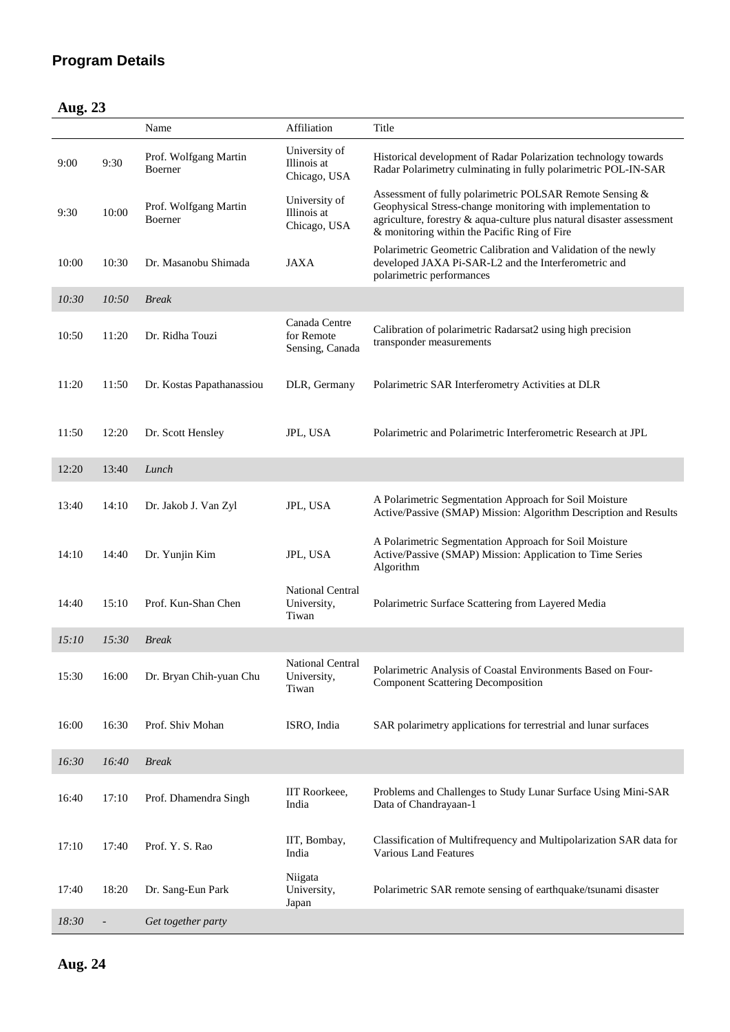### **Program Details**

| Þ<br><br>H |  |
|------------|--|
|------------|--|

|       |                | Name                             | Affiliation                                     | Title                                                                                                                                                                                                                                            |
|-------|----------------|----------------------------------|-------------------------------------------------|--------------------------------------------------------------------------------------------------------------------------------------------------------------------------------------------------------------------------------------------------|
| 9:00  | 9:30           | Prof. Wolfgang Martin<br>Boerner | University of<br>Illinois at<br>Chicago, USA    | Historical development of Radar Polarization technology towards<br>Radar Polarimetry culminating in fully polarimetric POL-IN-SAR                                                                                                                |
| 9:30  | 10:00          | Prof. Wolfgang Martin<br>Boerner | University of<br>Illinois at<br>Chicago, USA    | Assessment of fully polarimetric POLSAR Remote Sensing &<br>Geophysical Stress-change monitoring with implementation to<br>agriculture, forestry & aqua-culture plus natural disaster assessment<br>& monitoring within the Pacific Ring of Fire |
| 10:00 | 10:30          | Dr. Masanobu Shimada             | <b>JAXA</b>                                     | Polarimetric Geometric Calibration and Validation of the newly<br>developed JAXA Pi-SAR-L2 and the Interferometric and<br>polarimetric performances                                                                                              |
| 10:30 | 10:50          | <b>Break</b>                     |                                                 |                                                                                                                                                                                                                                                  |
| 10:50 | 11:20          | Dr. Ridha Touzi                  | Canada Centre<br>for Remote<br>Sensing, Canada  | Calibration of polarimetric Radarsat2 using high precision<br>transponder measurements                                                                                                                                                           |
| 11:20 | 11:50          | Dr. Kostas Papathanassiou        | DLR, Germany                                    | Polarimetric SAR Interferometry Activities at DLR                                                                                                                                                                                                |
| 11:50 | 12:20          | Dr. Scott Hensley                | JPL, USA                                        | Polarimetric and Polarimetric Interferometric Research at JPL                                                                                                                                                                                    |
| 12:20 | 13:40          | Lunch                            |                                                 |                                                                                                                                                                                                                                                  |
| 13:40 | 14:10          | Dr. Jakob J. Van Zyl             | JPL, USA                                        | A Polarimetric Segmentation Approach for Soil Moisture<br>Active/Passive (SMAP) Mission: Algorithm Description and Results                                                                                                                       |
| 14:10 | 14:40          | Dr. Yunjin Kim                   | JPL, USA                                        | A Polarimetric Segmentation Approach for Soil Moisture<br>Active/Passive (SMAP) Mission: Application to Time Series<br>Algorithm                                                                                                                 |
| 14:40 | 15:10          | Prof. Kun-Shan Chen              | <b>National Central</b><br>University,<br>Tiwan | Polarimetric Surface Scattering from Layered Media                                                                                                                                                                                               |
| 15:10 | 15:30          | <b>Break</b>                     |                                                 |                                                                                                                                                                                                                                                  |
| 15:30 | 16:00          | Dr. Bryan Chih-yuan Chu          | National Central<br>University,<br>Tiwan        | Polarimetric Analysis of Coastal Environments Based on Four-<br><b>Component Scattering Decomposition</b>                                                                                                                                        |
| 16:00 | 16:30          | Prof. Shiv Mohan                 | ISRO, India                                     | SAR polarimetry applications for terrestrial and lunar surfaces                                                                                                                                                                                  |
| 16:30 | 16:40          | <b>Break</b>                     |                                                 |                                                                                                                                                                                                                                                  |
| 16:40 | 17:10          | Prof. Dhamendra Singh            | IIT Roorkeee,<br>India                          | Problems and Challenges to Study Lunar Surface Using Mini-SAR<br>Data of Chandrayaan-1                                                                                                                                                           |
| 17:10 | 17:40          | Prof. Y. S. Rao                  | IIT, Bombay,<br>India                           | Classification of Multifrequency and Multipolarization SAR data for<br><b>Various Land Features</b>                                                                                                                                              |
| 17:40 | 18:20          | Dr. Sang-Eun Park                | Niigata<br>University,<br>Japan                 | Polarimetric SAR remote sensing of earthquake/tsunami disaster                                                                                                                                                                                   |
| 18:30 | $\overline{a}$ | Get together party               |                                                 |                                                                                                                                                                                                                                                  |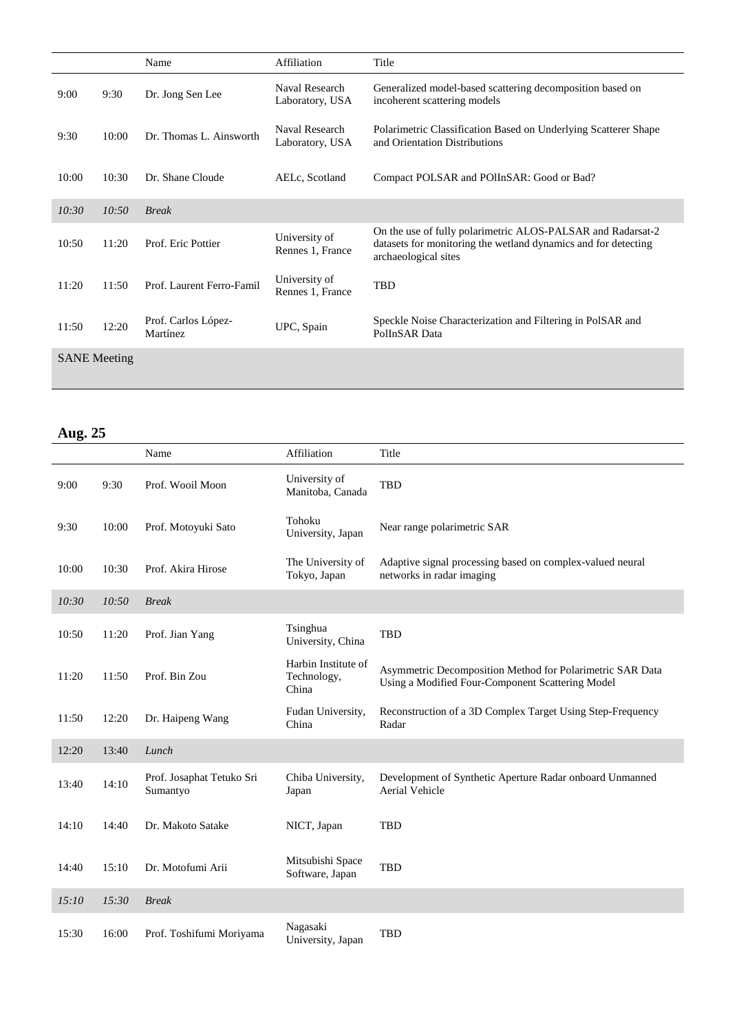|                     |       | Name                            | Affiliation                       | Title                                                                                                                                                 |
|---------------------|-------|---------------------------------|-----------------------------------|-------------------------------------------------------------------------------------------------------------------------------------------------------|
| 9:00                | 9:30  | Dr. Jong Sen Lee                | Naval Research<br>Laboratory, USA | Generalized model-based scattering decomposition based on<br>incoherent scattering models                                                             |
| 9:30                | 10:00 | Dr. Thomas L. Ainsworth         | Naval Research<br>Laboratory, USA | Polarimetric Classification Based on Underlying Scatterer Shape<br>and Orientation Distributions                                                      |
| 10:00               | 10:30 | Dr. Shane Cloude                | AELc, Scotland                    | Compact POLSAR and POIInSAR: Good or Bad?                                                                                                             |
| 10:30               | 10:50 | <b>Break</b>                    |                                   |                                                                                                                                                       |
| 10:50               | 11:20 | Prof. Eric Pottier              | University of<br>Rennes 1, France | On the use of fully polarimetric ALOS-PALSAR and Radarsat-2<br>datasets for monitoring the wetland dynamics and for detecting<br>archaeological sites |
| 11:20               | 11:50 | Prof. Laurent Ferro-Famil       | University of<br>Rennes 1, France | TBD                                                                                                                                                   |
| 11:50               | 12:20 | Prof. Carlos López-<br>Martínez | UPC, Spain                        | Speckle Noise Characterization and Filtering in PolSAR and<br>PolInSAR Data                                                                           |
| <b>SANE</b> Meeting |       |                                 |                                   |                                                                                                                                                       |

### **Aug. 25**

|       |       | Name                                  | Affiliation                                 | Title                                                                                                         |
|-------|-------|---------------------------------------|---------------------------------------------|---------------------------------------------------------------------------------------------------------------|
| 9:00  | 9:30  | Prof. Wooil Moon                      | University of<br>Manitoba, Canada           | <b>TBD</b>                                                                                                    |
| 9:30  | 10:00 | Prof. Motoyuki Sato                   | Tohoku<br>University, Japan                 | Near range polarimetric SAR                                                                                   |
| 10:00 | 10:30 | Prof. Akira Hirose                    | The University of<br>Tokyo, Japan           | Adaptive signal processing based on complex-valued neural<br>networks in radar imaging                        |
| 10:30 | 10:50 | <b>Break</b>                          |                                             |                                                                                                               |
| 10:50 | 11:20 | Prof. Jian Yang                       | Tsinghua<br>University, China               | <b>TBD</b>                                                                                                    |
| 11:20 | 11:50 | Prof. Bin Zou                         | Harbin Institute of<br>Technology,<br>China | Asymmetric Decomposition Method for Polarimetric SAR Data<br>Using a Modified Four-Component Scattering Model |
| 11:50 | 12:20 | Dr. Haipeng Wang                      | Fudan University,<br>China                  | Reconstruction of a 3D Complex Target Using Step-Frequency<br>Radar                                           |
| 12:20 | 13:40 | Lunch                                 |                                             |                                                                                                               |
| 13:40 | 14:10 | Prof. Josaphat Tetuko Sri<br>Sumantyo | Chiba University,<br>Japan                  | Development of Synthetic Aperture Radar onboard Unmanned<br><b>Aerial Vehicle</b>                             |
| 14:10 | 14:40 | Dr. Makoto Satake                     | NICT, Japan                                 | <b>TBD</b>                                                                                                    |
| 14:40 | 15:10 | Dr. Motofumi Arii                     | Mitsubishi Space<br>Software, Japan         | <b>TBD</b>                                                                                                    |
| 15:10 | 15:30 | <b>Break</b>                          |                                             |                                                                                                               |
| 15:30 | 16:00 | Prof. Toshifumi Moriyama              | Nagasaki<br>University, Japan               | <b>TBD</b>                                                                                                    |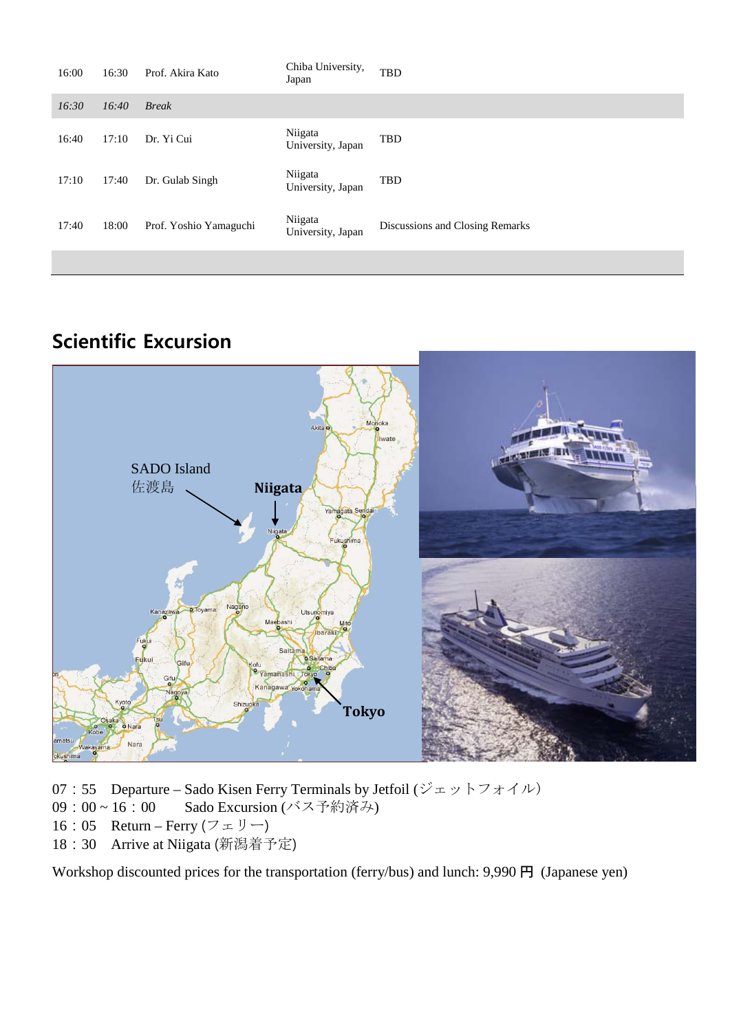| 16:00 | 16:30 | Prof. Akira Kato       | Chiba University,<br>Japan   | <b>TBD</b>                      |
|-------|-------|------------------------|------------------------------|---------------------------------|
| 16:30 | 16:40 | <b>Break</b>           |                              |                                 |
| 16:40 | 17:10 | Dr. Yi Cui             | Niigata<br>University, Japan | TBD                             |
| 17:10 | 17:40 | Dr. Gulab Singh        | Niigata<br>University, Japan | <b>TBD</b>                      |
| 17:40 | 18:00 | Prof. Yoshio Yamaguchi | Niigata<br>University, Japan | Discussions and Closing Remarks |
|       |       |                        |                              |                                 |

## **Scientific Excursion**



- 07:55 Departure Sado Kisen Ferry Terminals by Jetfoil  $(\mathcal{V} \pm \mathcal{V} \rightarrow \mathcal{V} \pm \mathcal{A} \mathcal{W})$
- 09:00~16:00 Sado Excursion (バス予約済み)
- 16:05 Return Ferry  $(7 \pm 1)$  –)
- 18:30 Arrive at Niigata (新潟着予定)

Workshop discounted prices for the transportation (ferry/bus) and lunch: 9,990 円 (Japanese yen)